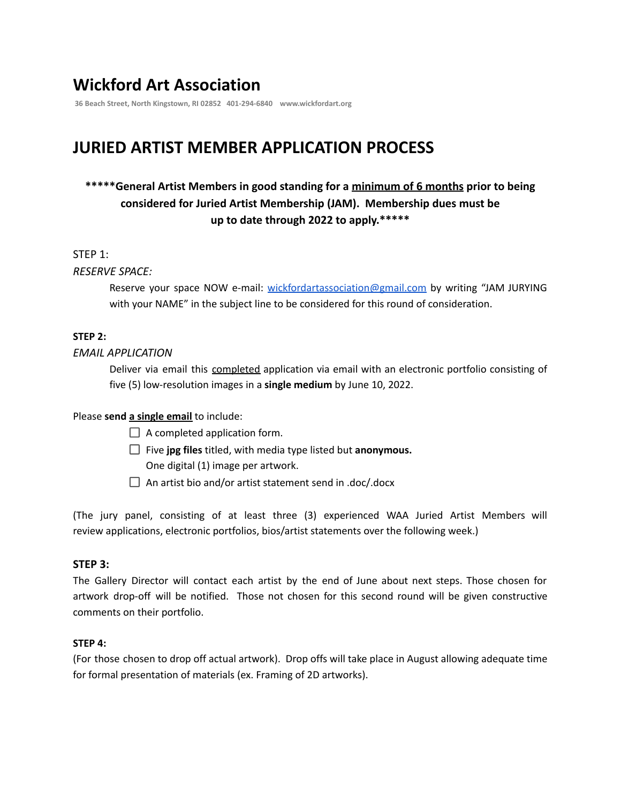# **Wickford Art Association**

**36 Beach Street, North Kingstown, RI 02852 401-294-6840 www.wickfordart.org**

# **JURIED ARTIST MEMBER APPLICATION PROCESS**

## **\*\*\*\*\*General Artist Members in good standing for a minimum of 6 months prior to being considered for Juried Artist Membership (JAM). Membership dues must be up to date through 2022 to apply.\*\*\*\*\***

#### STEP 1:

#### *RESERVE SPACE:*

Reserve your space NOW e-mail: [wickfordartassociation@gmail.com](mailto:wickfordartassociation@gmail.com) by writing "JAM JURYING with your NAME" in the subject line to be considered for this round of consideration.

## **STEP 2:**

#### *EMAIL APPLICATION*

Deliver via email this completed application via email with an electronic portfolio consisting of five (5) low-resolution images in a **single medium** by June 10, 2022.

## Please **send a single email** to include:

- $\Box$  A completed application form.
- Five **jpg files** titled, with media type listed but **anonymous.** One digital (1) image per artwork.
- $\Box$  An artist bio and/or artist statement send in .doc/.docx

(The jury panel, consisting of at least three (3) experienced WAA Juried Artist Members will review applications, electronic portfolios, bios/artist statements over the following week.)

#### **STEP 3:**

The Gallery Director will contact each artist by the end of June about next steps. Those chosen for artwork drop-off will be notified. Those not chosen for this second round will be given constructive comments on their portfolio.

#### **STEP 4:**

(For those chosen to drop off actual artwork). Drop offs will take place in August allowing adequate time for formal presentation of materials (ex. Framing of 2D artworks).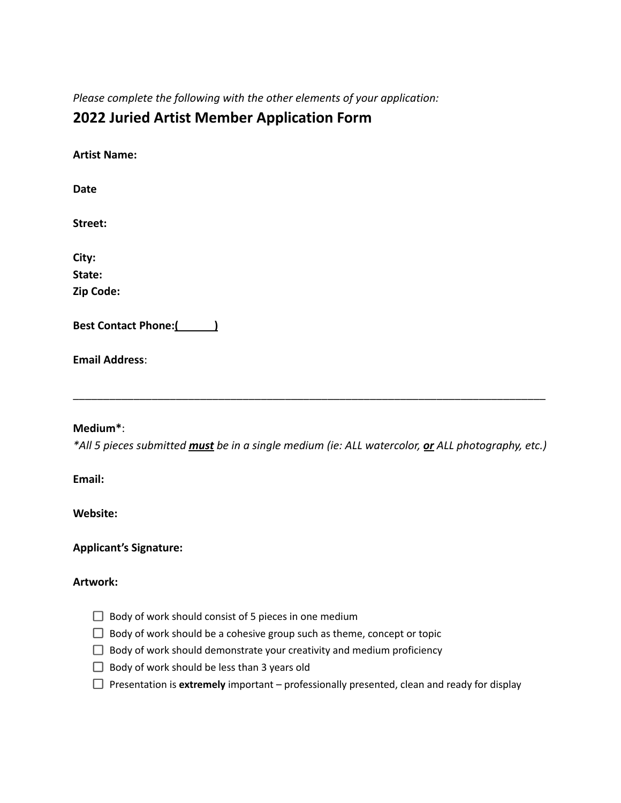*Please complete the following with the other elements of your application:*

# **2022 Juried Artist Member Application Form**

| <b>Artist Name:</b> |  |
|---------------------|--|
| Date                |  |
| Street:             |  |
| City:               |  |
| State:              |  |
| Zip Code:           |  |

**Best Contact Phone:**(2008)

**Email Address**:

## **Medium\***:

*\*All 5 pieces submitted must be in a single medium (ie: ALL watercolor, or ALL photography, etc.)*

\_\_\_\_\_\_\_\_\_\_\_\_\_\_\_\_\_\_\_\_\_\_\_\_\_\_\_\_\_\_\_\_\_\_\_\_\_\_\_\_\_\_\_\_\_\_\_\_\_\_\_\_\_\_\_\_\_\_\_\_\_\_\_\_\_\_\_\_\_\_\_\_\_\_\_\_\_\_

**Email:**

**Website:**

**Applicant's Signature:**

#### **Artwork:**

- $\Box$  Body of work should consist of 5 pieces in one medium
- $\Box$  Body of work should be a cohesive group such as theme, concept or topic
- $\Box$  Body of work should demonstrate your creativity and medium proficiency
- $\Box$  Body of work should be less than 3 years old
- $\Box$  Presentation is **extremely** important professionally presented, clean and ready for display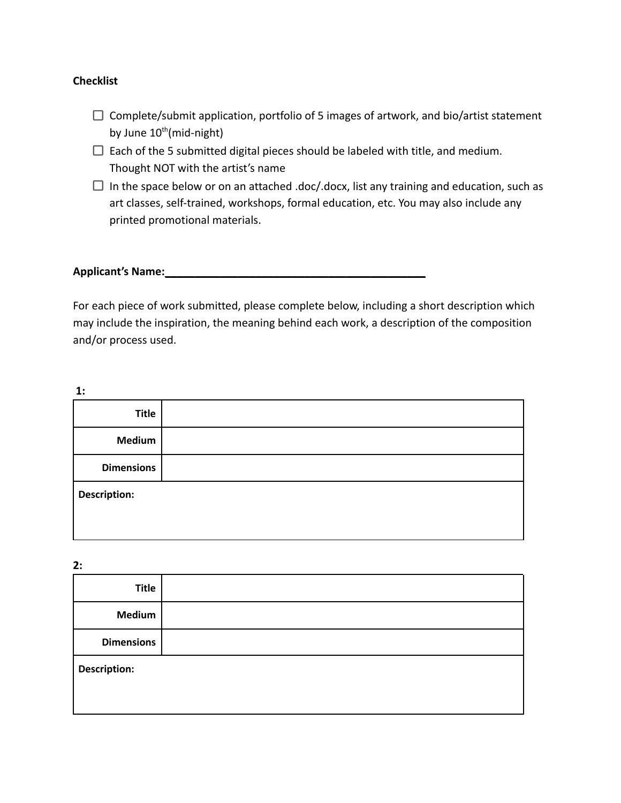## **Checklist**

- $\Box$  Complete/submit application, portfolio of 5 images of artwork, and bio/artist statement by June 10<sup>th</sup>(mid-night)
- $\Box$  Each of the 5 submitted digital pieces should be labeled with title, and medium. Thought NOT with the artist's name
- $\Box$  In the space below or on an attached .doc/.docx, list any training and education, such as art classes, self-trained, workshops, formal education, etc. You may also include any printed promotional materials.

#### **Applicant's Name:**  $\blacksquare$

For each piece of work submitted, please complete below, including a short description which may include the inspiration, the meaning behind each work, a description of the composition and/or process used.

| ۰. | I |
|----|---|
|    |   |
|    |   |

| <b>Title</b>        |  |
|---------------------|--|
| <b>Medium</b>       |  |
| <b>Dimensions</b>   |  |
| <b>Description:</b> |  |
|                     |  |

**2:**

| <b>Title</b>        |  |
|---------------------|--|
| <b>Medium</b>       |  |
| <b>Dimensions</b>   |  |
| <b>Description:</b> |  |
|                     |  |